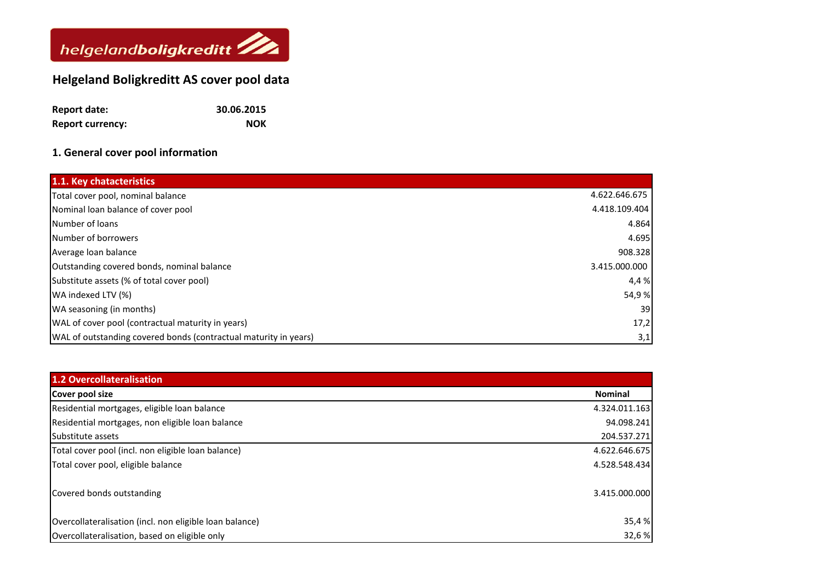

## **Helgeland Boligkreditt AS cover pool data**

| <b>Report date:</b>     | 30.06.2015 |
|-------------------------|------------|
| <b>Report currency:</b> | <b>NOK</b> |

## **1. General cover pool information**

| 1.1. Key chatacteristics                                         |               |
|------------------------------------------------------------------|---------------|
| Total cover pool, nominal balance                                | 4.622.646.675 |
| Nominal loan balance of cover pool                               | 4.418.109.404 |
| Number of loans                                                  | 4.864         |
| Number of borrowers                                              | 4.695         |
| Average loan balance                                             | 908.328       |
| Outstanding covered bonds, nominal balance                       | 3.415.000.000 |
| Substitute assets (% of total cover pool)                        | 4,4 %         |
| WA indexed LTV (%)                                               | 54,9%         |
| WA seasoning (in months)                                         | 39            |
| WAL of cover pool (contractual maturity in years)                | 17,2          |
| WAL of outstanding covered bonds (contractual maturity in years) | 3,1           |

| <b>1.2 Overcollateralisation</b>                        |                |
|---------------------------------------------------------|----------------|
| Cover pool size                                         | <b>Nominal</b> |
| Residential mortgages, eligible loan balance            | 4.324.011.163  |
| Residential mortgages, non eligible loan balance        | 94.098.241     |
| Substitute assets                                       | 204.537.271    |
| Total cover pool (incl. non eligible loan balance)      | 4.622.646.675  |
| Total cover pool, eligible balance                      | 4.528.548.434  |
| Covered bonds outstanding                               | 3.415.000.000  |
| Overcollateralisation (incl. non eligible loan balance) | 35,4 %         |
| Overcollateralisation, based on eligible only           | 32,6%          |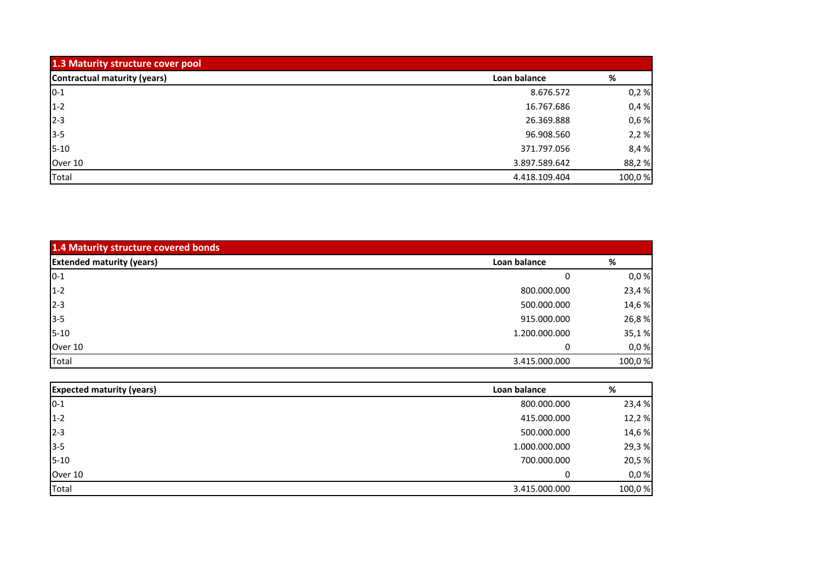| 1.3 Maturity structure cover pool |               |        |
|-----------------------------------|---------------|--------|
| Contractual maturity (years)      | Loan balance  | %      |
| $10 - 1$                          | 8.676.572     | 0,2%   |
| $1-2$                             | 16.767.686    | 0,4%   |
| $2 - 3$                           | 26.369.888    | 0,6%   |
| $3 - 5$                           | 96.908.560    | 2,2%   |
| $5 - 10$                          | 371.797.056   | 8,4%   |
| Over 10                           | 3.897.589.642 | 88,2%  |
| Total                             | 4.418.109.404 | 100,0% |

| 1.4 Maturity structure covered bonds |               |        |
|--------------------------------------|---------------|--------|
| <b>Extended maturity (years)</b>     | Loan balance  | %      |
| $0 - 1$                              |               | 0,0%   |
| $1 - 2$                              | 800.000.000   | 23,4%  |
| $2 - 3$                              | 500.000.000   | 14,6%  |
| $3-5$                                | 915.000.000   | 26,8%  |
| $5 - 10$                             | 1.200.000.000 | 35,1%  |
| Over 10                              |               | 0,0%   |
| Total                                | 3.415.000.000 | 100,0% |

| <b>Expected maturity (years)</b> | Loan balance  | %      |
|----------------------------------|---------------|--------|
| $10 - 1$                         | 800.000.000   | 23,4 % |
| $1 - 2$                          | 415.000.000   | 12,2%  |
| $2 - 3$                          | 500.000.000   | 14,6 % |
| $3 - 5$                          | 1.000.000.000 | 29,3%  |
| $5 - 10$                         | 700.000.000   | 20,5%  |
| Over 10                          | 0             | 0,0%   |
| Total                            | 3.415.000.000 | 100,0% |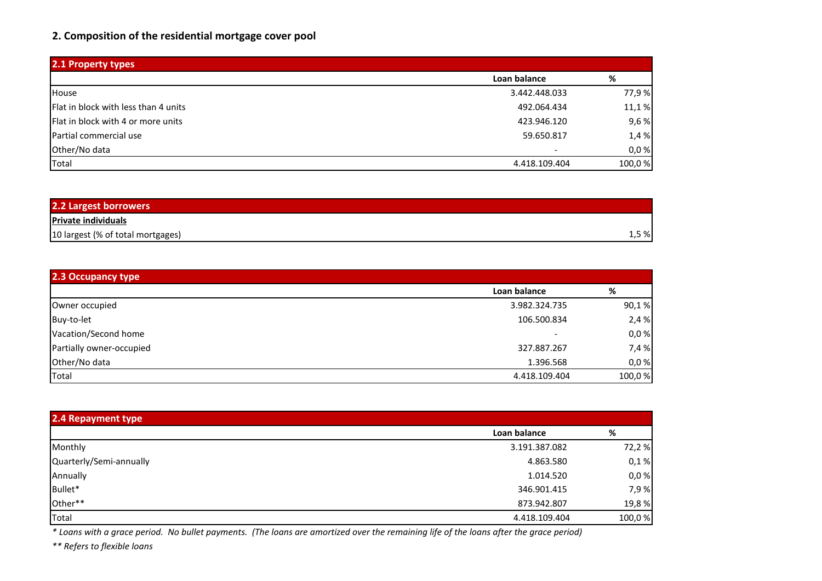## **2. Composition of the residential mortgage cover pool**

| 2.1 Property types                        |               |        |
|-------------------------------------------|---------------|--------|
|                                           | Loan balance  | %      |
| House                                     | 3.442.448.033 | 77,9%  |
| Flat in block with less than 4 units      | 492.064.434   | 11,1%  |
| <b>Flat in block with 4 or more units</b> | 423.946.120   | 9,6%   |
| <b>Partial commercial use</b>             | 59.650.817    | 1,4 %  |
| Other/No data                             |               | 0,0%   |
| Total                                     | 4.418.109.404 | 100,0% |

| 2.2 Largest borrowers             |       |
|-----------------------------------|-------|
| <b>Private individuals</b>        |       |
| 10 largest (% of total mortgages) | 1,5 % |

| 2.3 Occupancy type       |                          |        |
|--------------------------|--------------------------|--------|
|                          | Loan balance             | %      |
| Owner occupied           | 3.982.324.735            | 90,1%  |
| Buy-to-let               | 106.500.834              | 2,4%   |
| Vacation/Second home     | $\overline{\phantom{0}}$ | 0,0%   |
| Partially owner-occupied | 327.887.267              | 7,4 %  |
| Other/No data            | 1.396.568                | 0,0%   |
| Total                    | 4.418.109.404            | 100,0% |

| 2.4 Repayment type      |               |        |
|-------------------------|---------------|--------|
|                         | Loan balance  | %      |
| Monthly                 | 3.191.387.082 | 72,2%  |
| Quarterly/Semi-annually | 4.863.580     | 0,1%   |
| Annually                | 1.014.520     | 0,0%   |
| Bullet*                 | 346.901.415   | 7,9%   |
| Other**                 | 873.942.807   | 19,8%  |
| Total                   | 4.418.109.404 | 100,0% |

*\* Loans with a grace period. No bullet payments. (The loans are amortized over the remaining life of the loans after the grace period)*

*\*\* Refers to flexible loans*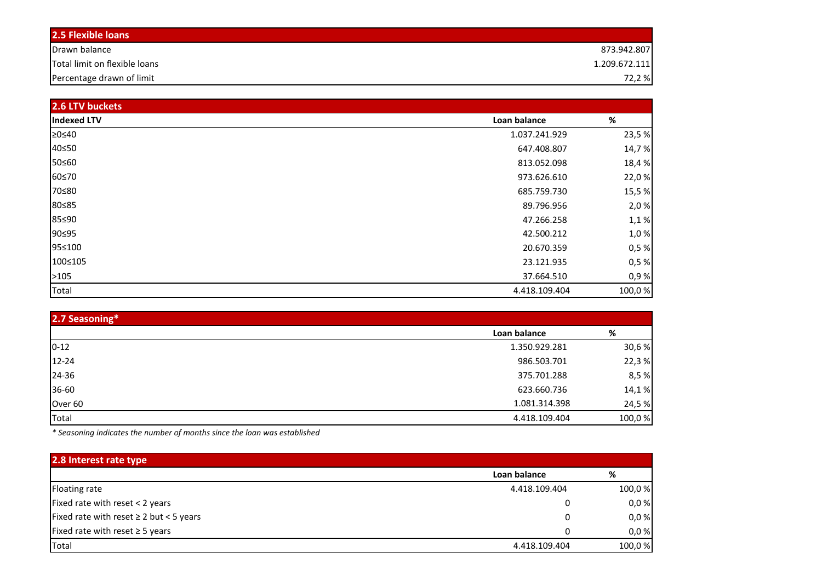| <b>2.5 Flexible loans</b>     |               |
|-------------------------------|---------------|
| Drawn balance                 | 873.942.807   |
| Total limit on flexible loans | 1.209.672.111 |
| Percentage drawn of limit     | 72,2 %        |

| 2.6 LTV buckets    |               |        |
|--------------------|---------------|--------|
| <b>Indexed LTV</b> | Loan balance  | $\%$   |
| ≥0≤40              | 1.037.241.929 | 23,5%  |
| 40≤50              | 647.408.807   | 14,7%  |
| 50≤60              | 813.052.098   | 18,4%  |
| 60≤70              | 973.626.610   | 22,0%  |
| 70≤80              | 685.759.730   | 15,5%  |
| 80≤85              | 89.796.956    | 2,0%   |
| 85≤90              | 47.266.258    | 1,1%   |
| 90≤95              | 42.500.212    | 1,0%   |
| 95≤100             | 20.670.359    | 0,5%   |
| 100≤105            | 23.121.935    | 0,5%   |
| >105               | 37.664.510    | 0,9%   |
| Total              | 4.418.109.404 | 100,0% |

| 2.7 Seasoning*     |               |        |  |  |  |
|--------------------|---------------|--------|--|--|--|
|                    | Loan balance  | %      |  |  |  |
| $0 - 12$           | 1.350.929.281 | 30,6%  |  |  |  |
| $12 - 24$          | 986.503.701   | 22,3%  |  |  |  |
| 24-36              | 375.701.288   | 8,5%   |  |  |  |
| 36-60              | 623.660.736   | 14,1%  |  |  |  |
| Over <sub>60</sub> | 1.081.314.398 | 24,5%  |  |  |  |
| Total              | 4.418.109.404 | 100,0% |  |  |  |

*\* Seasoning indicates the number of months since the loan was established*

| 2.8 Interest rate type                       |               |        |
|----------------------------------------------|---------------|--------|
|                                              | Loan balance  | %      |
| Floating rate                                | 4.418.109.404 | 100,0% |
| Fixed rate with reset < 2 years              | 0             | 0,0%   |
| Fixed rate with reset $\geq 2$ but < 5 years | 0             | 0,0%   |
| Fixed rate with reset $\geq$ 5 years         | 0             | 0,0%   |
| Total                                        | 4.418.109.404 | 100,0% |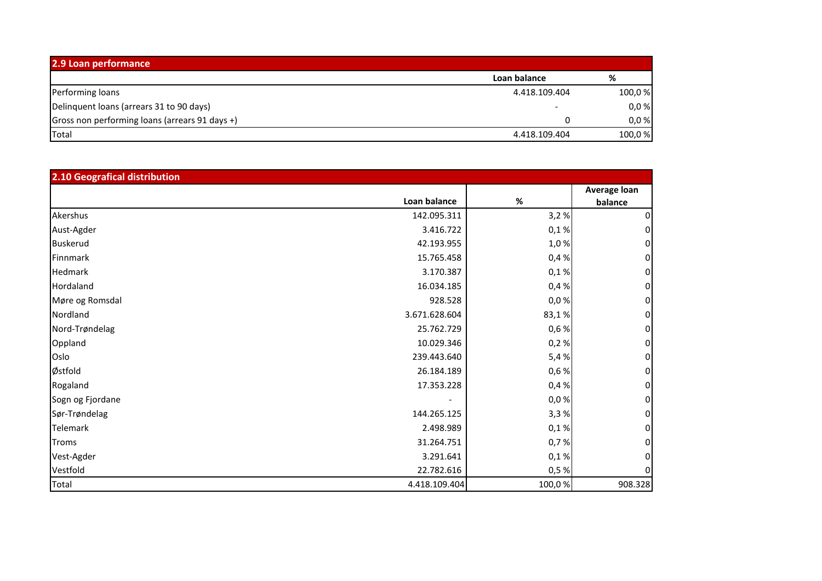| 2.9 Loan performance                           |               |         |  |  |  |
|------------------------------------------------|---------------|---------|--|--|--|
|                                                | Loan balance  | %       |  |  |  |
| Performing loans                               | 4.418.109.404 | 100,0 % |  |  |  |
| Delinquent loans (arrears 31 to 90 days)       |               | 0,0%    |  |  |  |
| Gross non performing loans (arrears 91 days +) |               | 0,0%    |  |  |  |
| Total                                          | 4.418.109.404 | 100,0 % |  |  |  |

| 2.10 Geografical distribution |               |        |                         |  |  |
|-------------------------------|---------------|--------|-------------------------|--|--|
|                               | Loan balance  | $\%$   | Average loan<br>balance |  |  |
| Akershus                      | 142.095.311   | 3,2%   |                         |  |  |
| Aust-Agder                    | 3.416.722     | 0,1%   |                         |  |  |
| <b>Buskerud</b>               | 42.193.955    | 1,0%   |                         |  |  |
| Finnmark                      | 15.765.458    | 0,4%   |                         |  |  |
| Hedmark                       | 3.170.387     | 0,1%   | 0                       |  |  |
| Hordaland                     | 16.034.185    | 0,4%   | 0                       |  |  |
| Møre og Romsdal               | 928.528       | 0,0%   |                         |  |  |
| Nordland                      | 3.671.628.604 | 83,1%  |                         |  |  |
| Nord-Trøndelag                | 25.762.729    | 0,6%   | 0                       |  |  |
| Oppland                       | 10.029.346    | 0,2%   | 0                       |  |  |
| Oslo                          | 239.443.640   | 5,4%   | 0                       |  |  |
| Østfold                       | 26.184.189    | 0,6%   |                         |  |  |
| Rogaland                      | 17.353.228    | 0,4%   | $\mathbf{0}$            |  |  |
| Sogn og Fjordane              |               | 0,0%   | $\mathbf{0}$            |  |  |
| Sør-Trøndelag                 | 144.265.125   | 3,3%   |                         |  |  |
| Telemark                      | 2.498.989     | 0,1%   |                         |  |  |
| <b>Troms</b>                  | 31.264.751    | 0,7%   |                         |  |  |
| Vest-Agder                    | 3.291.641     | 0,1%   |                         |  |  |
| Vestfold                      | 22.782.616    | 0,5%   |                         |  |  |
| Total                         | 4.418.109.404 | 100,0% | 908.328                 |  |  |